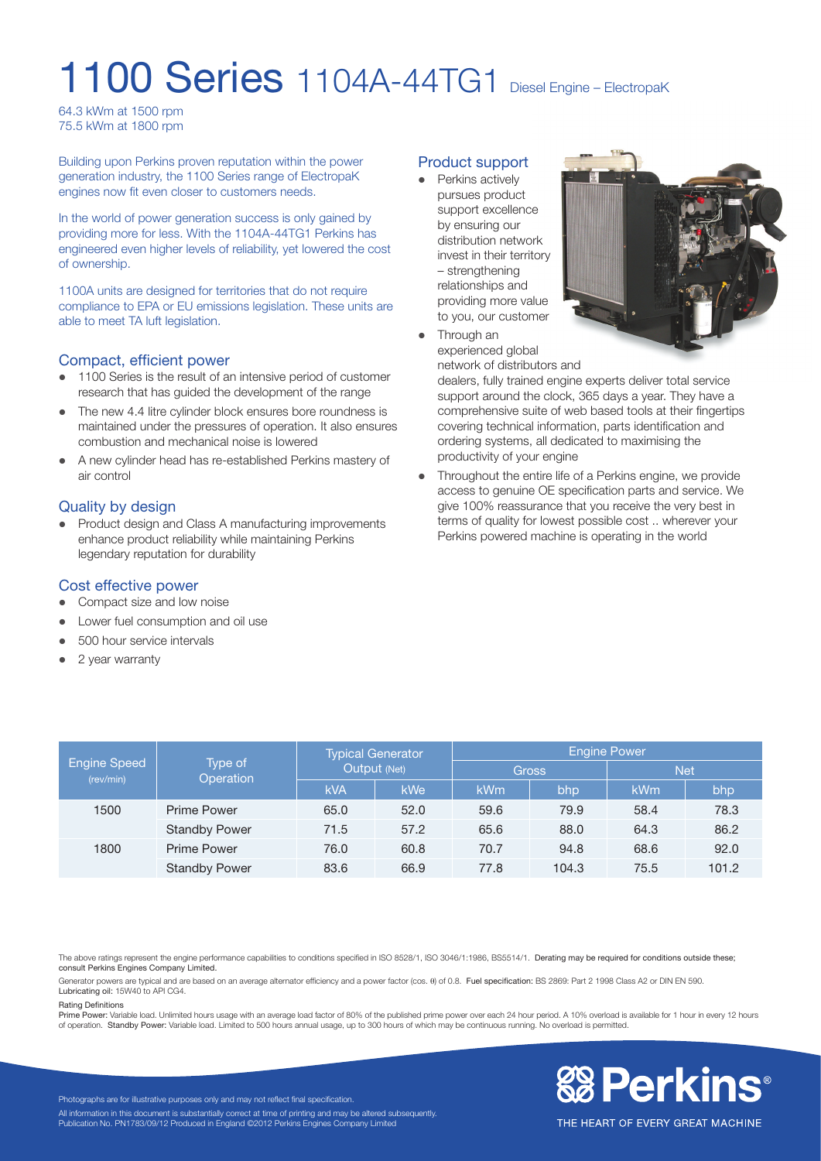# 1100 Series 1104A-44TG1 Diesel Engine – ElectropaK

64.3 kWm at 1500 rpm 75.5 kWm at 1800 rpm

Building upon Perkins proven reputation within the power generation industry, the 1100 Series range of ElectropaK engines now fit even closer to customers needs.

In the world of power generation success is only gained by providing more for less. With the 1104A-44TG1 Perkins has engineered even higher levels of reliability, yet lowered the cost of ownership.

1100A units are designed for territories that do not require compliance to EPA or EU emissions legislation. These units are able to meet TA luft legislation.

# Compact, efficient power

- 1100 Series is the result of an intensive period of customer research that has guided the development of the range
- The new 4.4 litre cylinder block ensures bore roundness is maintained under the pressures of operation. It also ensures combustion and mechanical noise is lowered
- A new cylinder head has re-established Perkins mastery of air control

# Quality by design

Product design and Class A manufacturing improvements enhance product reliability while maintaining Perkins legendary reputation for durability

# Cost effective power

- Compact size and low noise
- Lower fuel consumption and oil use
- 500 hour service intervals
- $\bullet$  2 year warranty

#### Product support

• Perkins actively pursues product support excellence by ensuring our distribution network invest in their territory – strengthening relationships and providing more value to you, our customer



• Through an experienced global

network of distributors and

dealers, fully trained engine experts deliver total service support around the clock, 365 days a year. They have a comprehensive suite of web based tools at their fingertips covering technical information, parts identification and ordering systems, all dedicated to maximising the productivity of your engine

Throughout the entire life of a Perkins engine, we provide access to genuine OE specification parts and service. We give 100% reassurance that you receive the very best in terms of quality for lowest possible cost .. wherever your Perkins powered machine is operating in the world

| Engine Speed<br>(rev/min) | Type of<br>Operation | <b>Typical Generator</b><br>Output (Net) |      | <b>Engine Power</b> |       |            |       |
|---------------------------|----------------------|------------------------------------------|------|---------------------|-------|------------|-------|
|                           |                      |                                          |      | <b>Gross</b>        |       | <b>Net</b> |       |
|                           |                      | <b>kVA</b>                               | kWe  | kWm                 | bhp   | kWm        | bhp   |
| 1500                      | <b>Prime Power</b>   | 65.0                                     | 52.0 | 59.6                | 79.9  | 58.4       | 78.3  |
|                           | <b>Standby Power</b> | 71.5                                     | 57.2 | 65.6                | 88.0  | 64.3       | 86.2  |
| 1800                      | Prime Power          | 76.0                                     | 60.8 | 70.7                | 94.8  | 68.6       | 92.0  |
|                           | <b>Standby Power</b> | 83.6                                     | 66.9 | 77.8                | 104.3 | 75.5       | 101.2 |

The above ratings represent the engine performance capabilities to conditions specified in ISO 8528/1, ISO 3046/1:1986, BS5514/1. Derating may be required for conditions outside these; consult Perkins Engines Company Limited.

Generator powers are typical and are based on an average alternator efficiency and a power factor (cos.  $\theta$ ) of 0.8. Fuel specification: BS 2869: Part 2 1998 Class A2 or DIN EN 590. Lubricating oil: 15W40 to API CG4.

#### Rating Definitions

Prime Power: Variable load. Unlimited hours usage with an average load factor of 80% of the published prime power over each 24 hour period. A 10% overload is available for 1 hour in every 12 hours<br>of operation. Standby Pow



THE HEART OF EVERY GREAT MACHINE

Photographs are for illustrative purposes only and may not reflect final specification. All information in this document is substantially correct at time of printing and may be altered subsequently. Publication No. PN1783/09/12 Produced in England ©2012 Perkins Engines Company Limited